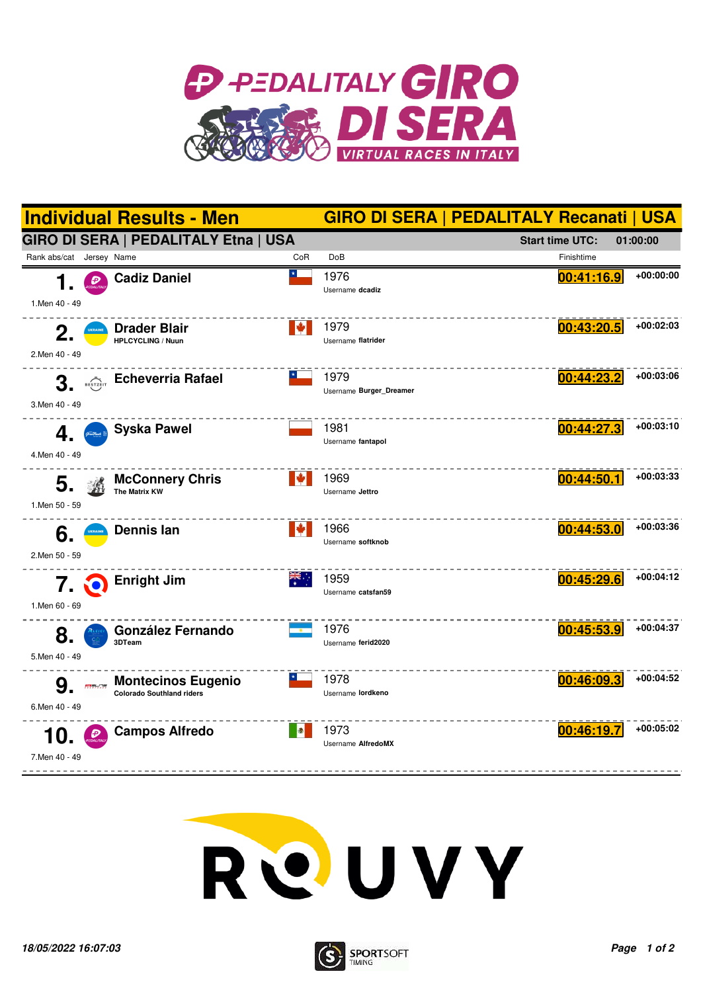